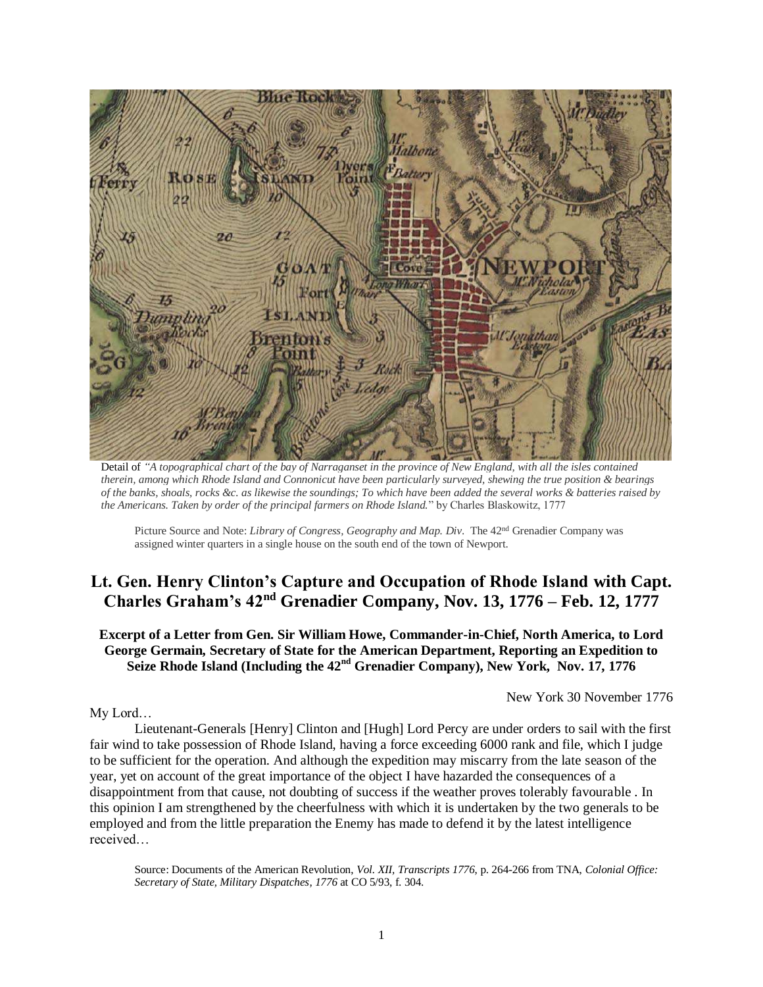

Detail of *"A topographical chart of the bay of Narraganset in the province of New England, with all the isles contained therein, among which Rhode Island and Connonicut have been particularly surveyed, shewing the true position & bearings of the banks, shoals, rocks &c. as likewise the soundings; To which have been added the several works & batteries raised by the Americans. Taken by order of the principal farmers on Rhode Island.*" by Charles Blaskowitz, 1777

Picture Source and Note: *Library of Congress, Geography and Map. Div*. The 42nd Grenadier Company was assigned winter quarters in a single house on the south end of the town of Newport.

# **Lt. Gen. Henry Clinton's Capture and Occupation of Rhode Island with Capt. Charles Graham's 42nd Grenadier Company, Nov. 13, 1776 – Feb. 12, 1777**

**Excerpt of a Letter from Gen. Sir William Howe, Commander-in-Chief, North America, to Lord George Germain, Secretary of State for the American Department, Reporting an Expedition to Seize Rhode Island (Including the 42nd Grenadier Company), New York, Nov. 17, 1776** 

New York 30 November 1776

My Lord…

Lieutenant-Generals [Henry] Clinton and [Hugh] Lord Percy are under orders to sail with the first fair wind to take possession of Rhode Island, having a force exceeding 6000 rank and file, which I judge to be sufficient for the operation. And although the expedition may miscarry from the late season of the year, yet on account of the great importance of the object I have hazarded the consequences of a disappointment from that cause, not doubting of success if the weather proves tolerably favourable . In this opinion I am strengthened by the cheerfulness with which it is undertaken by the two generals to be employed and from the little preparation the Enemy has made to defend it by the latest intelligence received…

Source: Documents of the American Revolution, *Vol. XII, Transcripts 1776*, p. 264-266 from TNA, *Colonial Office: Secretary of State, Military Dispatches, 1776* at CO 5/93, f. 304.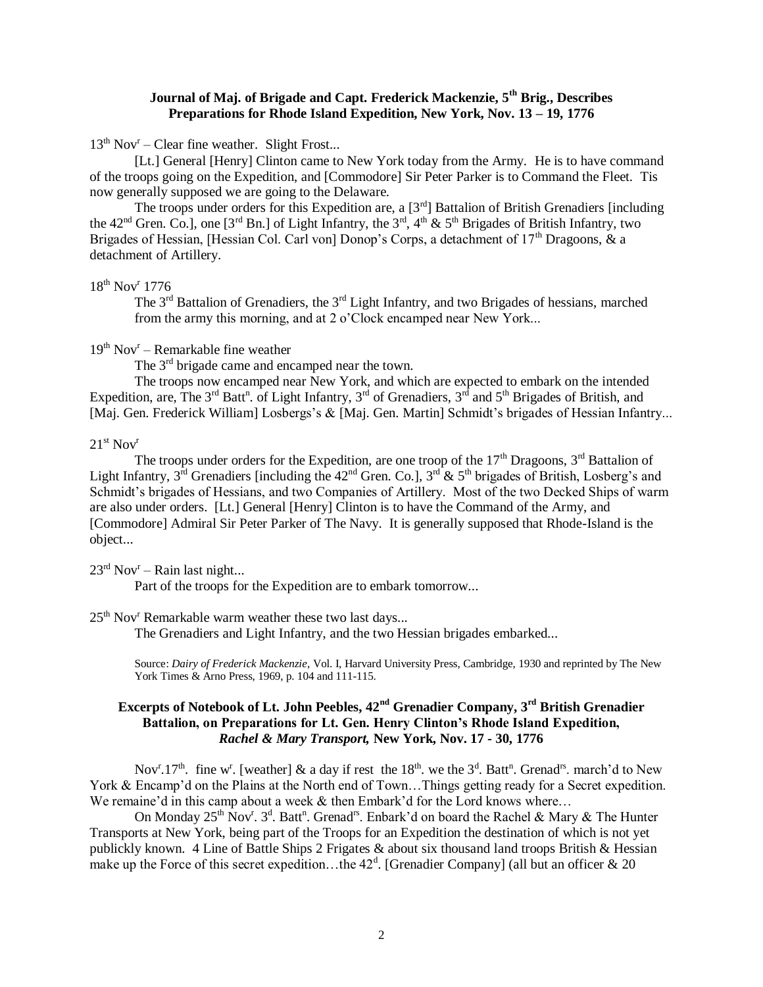## **Journal of Maj. of Brigade and Capt. Frederick Mackenzie, 5th Brig., Describes Preparations for Rhode Island Expedition, New York, Nov. 13 – 19, 1776**

13<sup>th</sup> Nov<sup>r</sup> – Clear fine weather. Slight Frost...

[Lt.] General [Henry] Clinton came to New York today from the Army. He is to have command of the troops going on the Expedition, and [Commodore] Sir Peter Parker is to Command the Fleet. Tis now generally supposed we are going to the Delaware.

The troops under orders for this Expedition are, a [3<sup>rd</sup>] Battalion of British Grenadiers [including] the 42<sup>nd</sup> Gren. Co.], one [3<sup>rd</sup> Bn.] of Light Infantry, the  $3^{rd}$ ,  $4^{th}$  &  $5^{th}$  Brigades of British Infantry, two Brigades of Hessian, [Hessian Col. Carl von] Donop's Corps, a detachment of  $17<sup>th</sup>$  Dragoons, & a detachment of Artillery.

18<sup>th</sup> Nov<sup>r</sup> 1776

The  $3<sup>rd</sup>$  Battalion of Grenadiers, the  $3<sup>rd</sup>$  Light Infantry, and two Brigades of hessians, marched from the army this morning, and at 2 o'Clock encamped near New York...

19<sup>th</sup> Nov<sup>r</sup> – Remarkable fine weather

The 3<sup>rd</sup> brigade came and encamped near the town.

The troops now encamped near New York, and which are expected to embark on the intended Expedition, are, The  $3^{rd}$  Batt<sup>n</sup>. of Light Infantry,  $3^{rd}$  of Grenadiers,  $3^{rd}$  and  $5^{th}$  Brigades of British, and [Maj. Gen. Frederick William] Losbergs's & [Maj. Gen. Martin] Schmidt's brigades of Hessian Infantry...

#### $21<sup>st</sup>$  Nov<sup>r</sup>

The troops under orders for the Expedition, are one troop of the  $17<sup>th</sup>$  Dragoons,  $3<sup>rd</sup>$  Battalion of Light Infantry,  $3^{\text{rd}}$  Grenadiers [including the 42<sup>nd</sup> Gren. Co.],  $3^{\text{rd}}$  &  $5^{\text{th}}$  brigades of British, Losberg's and Schmidt's brigades of Hessians, and two Companies of Artillery. Most of the two Decked Ships of warm are also under orders. [Lt.] General [Henry] Clinton is to have the Command of the Army, and [Commodore] Admiral Sir Peter Parker of The Navy. It is generally supposed that Rhode-Island is the object...

 $23<sup>rd</sup> Nov<sup>r</sup> – Rain last night...$ 

Part of the troops for the Expedition are to embark tomorrow...

 $25<sup>th</sup>$  Nov<sup>r</sup> Remarkable warm weather these two last days...

The Grenadiers and Light Infantry, and the two Hessian brigades embarked...

Source: *Dairy of Frederick Mackenzie*, Vol. I, Harvard University Press, Cambridge, 1930 and reprinted by The New York Times & Arno Press, 1969, p. 104 and 111-115.

## **Excerpts of Notebook of Lt. John Peebles, 42nd Grenadier Company, 3rd British Grenadier Battalion, on Preparations for Lt. Gen. Henry Clinton's Rhode Island Expedition,**  *Rachel & Mary Transport,* **New York, Nov. 17 - 30, 1776**

Nov<sup>r</sup>.17<sup>th</sup>. fine w<sup>r</sup>. [weather] & a day if rest the 18<sup>th</sup>. we the 3<sup>d</sup>. Batt<sup>n</sup>. Grenad<sup>rs</sup>. march'd to New York & Encamp'd on the Plains at the North end of Town...Things getting ready for a Secret expedition. We remaine'd in this camp about a week  $&$  then Embark'd for the Lord knows where...

On Monday 25<sup>th</sup> Nov<sup>r</sup>. 3<sup>d</sup>. Batt<sup>n</sup>. Grenad<sup>rs</sup>. Enbark'd on board the Rachel & Mary & The Hunter Transports at New York, being part of the Troops for an Expedition the destination of which is not yet publickly known. 4 Line of Battle Ships 2 Frigates & about six thousand land troops British & Hessian make up the Force of this secret expedition...the  $42<sup>d</sup>$ . [Grenadier Company] (all but an officer & 20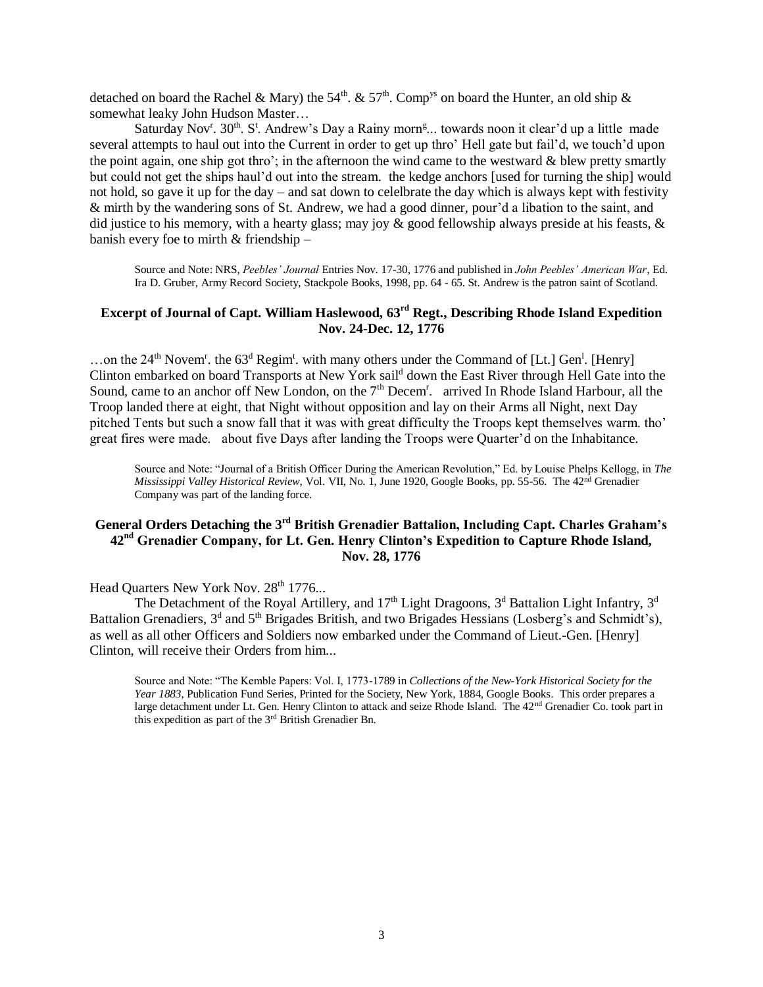detached on board the Rachel & Mary) the 54<sup>th</sup>. & 57<sup>th</sup>. Comp<sup>ys</sup> on board the Hunter, an old ship & somewhat leaky John Hudson Master…

Saturday Nov<sup>r</sup>. 30<sup>th</sup>. S<sup>t</sup>. Andrew's Day a Rainy morn<sup>g</sup>... towards noon it clear'd up a little made several attempts to haul out into the Current in order to get up thro' Hell gate but fail'd, we touch'd upon the point again, one ship got thro'; in the afternoon the wind came to the westward  $\&$  blew pretty smartly but could not get the ships haul'd out into the stream. the kedge anchors [used for turning the ship] would not hold, so gave it up for the day – and sat down to celelbrate the day which is always kept with festivity & mirth by the wandering sons of St. Andrew, we had a good dinner, pour'd a libation to the saint, and did justice to his memory, with a hearty glass; may joy  $\&$  good fellowship always preside at his feasts,  $\&$ banish every foe to mirth & friendship –

Source and Note: NRS, *Peebles' Journal* Entries Nov. 17-30, 1776 and published in *John Peebles' American War*, Ed. Ira D. Gruber, Army Record Society, Stackpole Books, 1998, pp. 64 - 65. St. Andrew is the patron saint of Scotland.

## **Excerpt of Journal of Capt. William Haslewood, 63rd Regt., Describing Rhode Island Expedition Nov. 24-Dec. 12, 1776**

...on the 24<sup>th</sup> Novem<sup>r</sup>. the 63<sup>d</sup> Regim<sup>t</sup>. with many others under the Command of [Lt.] Gen<sup>1</sup>. [Henry] Clinton embarked on board Transports at New York sail<sup>d</sup> down the East River through Hell Gate into the Sound, came to an anchor off New London, on the 7<sup>th</sup> Decem<sup>r</sup>. arrived In Rhode Island Harbour, all the Troop landed there at eight, that Night without opposition and lay on their Arms all Night, next Day pitched Tents but such a snow fall that it was with great difficulty the Troops kept themselves warm. tho' great fires were made. about five Days after landing the Troops were Quarter'd on the Inhabitance.

Source and Note: "Journal of a British Officer During the American Revolution," Ed. by Louise Phelps Kellogg, in *The Mississippi Valley Historical Review*, Vol. VII, No. 1, June 1920, Google Books, pp. 55-56. The 42nd Grenadier Company was part of the landing force.

## **General Orders Detaching the 3rd British Grenadier Battalion, Including Capt. Charles Graham's 42nd Grenadier Company, for Lt. Gen. Henry Clinton's Expedition to Capture Rhode Island, Nov. 28, 1776**

Head Quarters New York Nov. 28<sup>th</sup> 1776...

The Detachment of the Royal Artillery, and 17<sup>th</sup> Light Dragoons,  $3<sup>d</sup>$  Battalion Light Infantry,  $3<sup>d</sup>$ Battalion Grenadiers, 3<sup>d</sup> and 5<sup>th</sup> Brigades British, and two Brigades Hessians (Losberg's and Schmidt's), as well as all other Officers and Soldiers now embarked under the Command of Lieut.-Gen. [Henry] Clinton, will receive their Orders from him...

Source and Note: "The Kemble Papers: Vol. I, 1773-1789 in *Collections of the New-York Historical Society for the Year 1883*, Publication Fund Series, Printed for the Society, New York, 1884, Google Books. This order prepares a large detachment under Lt. Gen. Henry Clinton to attack and seize Rhode Island. The 42<sup>nd</sup> Grenadier Co. took part in this expedition as part of the 3rd British Grenadier Bn.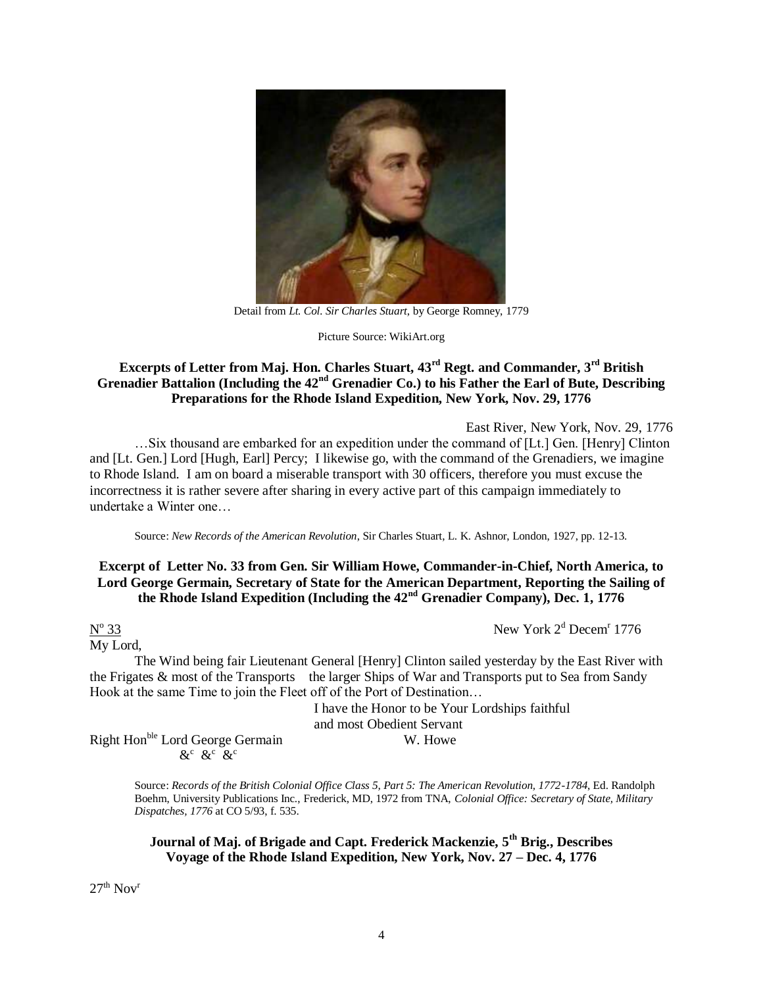

Detail from *Lt. Col. Sir Charles Stuart*, by George Romney, 1779

Picture Source: WikiArt.org

## **Excerpts of Letter from Maj. Hon. Charles Stuart, 43rd Regt. and Commander, 3rd British Grenadier Battalion (Including the 42nd Grenadier Co.) to his Father the Earl of Bute, Describing Preparations for the Rhode Island Expedition, New York, Nov. 29, 1776**

East River, New York, Nov. 29, 1776

…Six thousand are embarked for an expedition under the command of [Lt.] Gen. [Henry] Clinton and [Lt. Gen.] Lord [Hugh, Earl] Percy; I likewise go, with the command of the Grenadiers, we imagine to Rhode Island. I am on board a miserable transport with 30 officers, therefore you must excuse the incorrectness it is rather severe after sharing in every active part of this campaign immediately to undertake a Winter one…

Source: *New Records of the American Revolution*, Sir Charles Stuart, L. K. Ashnor, London, 1927, pp. 12-13.

## **Excerpt of Letter No. 33 from Gen. Sir William Howe, Commander-in-Chief, North America, to Lord George Germain, Secretary of State for the American Department, Reporting the Sailing of the Rhode Island Expedition (Including the 42nd Grenadier Company), Dec. 1, 1776**

# $N^{\text{o}}$

My Lord,

 $\frac{33}{2}$  New York  $2^d$  Decem<sup>r</sup> 1776

The Wind being fair Lieutenant General [Henry] Clinton sailed yesterday by the East River with the Frigates & most of the Transports the larger Ships of War and Transports put to Sea from Sandy Hook at the same Time to join the Fleet off of the Port of Destination…

I have the Honor to be Your Lordships faithful and most Obedient Servant

Right Hon<sup>ble</sup> Lord George Germain W. Howe  $\&c \&c \&c$ 

> Source: *Records of the British Colonial Office Class 5, Part 5: The American Revolution, 1772-1784*, Ed. Randolph Boehm, University Publications Inc., Frederick, MD, 1972 from TNA, *Colonial Office: Secretary of State, Military Dispatches, 1776* at CO 5/93, f. 535.

**Journal of Maj. of Brigade and Capt. Frederick Mackenzie, 5th Brig., Describes Voyage of the Rhode Island Expedition, New York, Nov. 27 – Dec. 4, 1776**

 $27<sup>th</sup>$  Nov<sup>r</sup>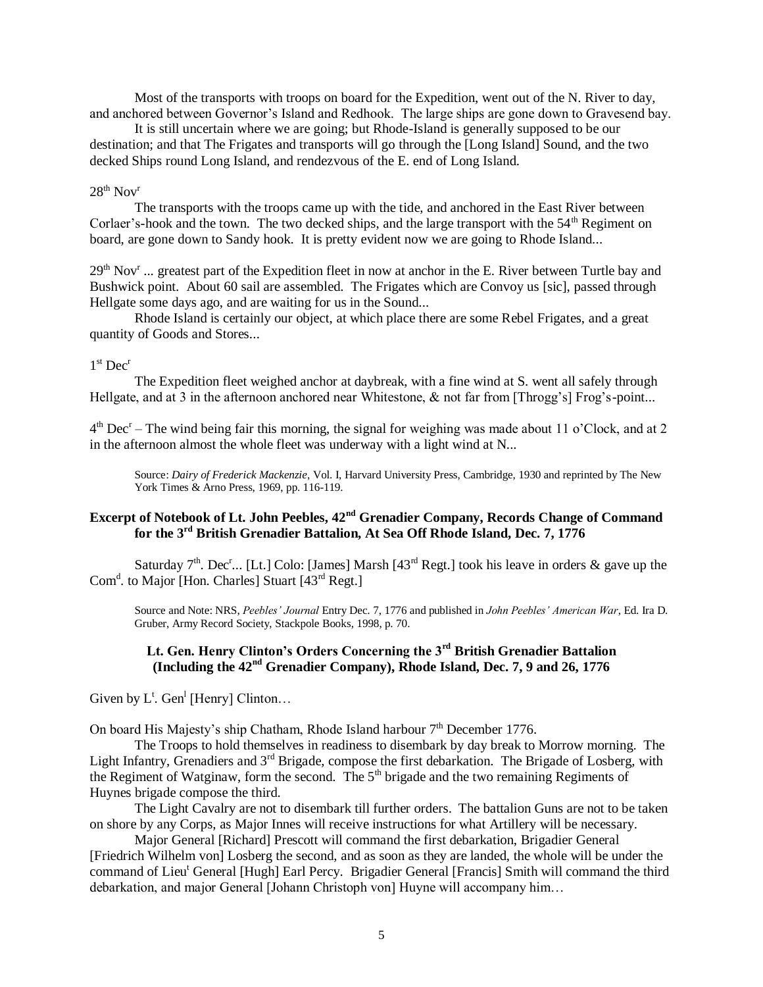Most of the transports with troops on board for the Expedition, went out of the N. River to day, and anchored between Governor's Island and Redhook. The large ships are gone down to Gravesend bay.

It is still uncertain where we are going; but Rhode-Island is generally supposed to be our destination; and that The Frigates and transports will go through the [Long Island] Sound, and the two decked Ships round Long Island, and rendezvous of the E. end of Long Island.

#### $28^{th}$  Nov<sup>r</sup>

The transports with the troops came up with the tide, and anchored in the East River between Corlaer's-hook and the town. The two decked ships, and the large transport with the 54<sup>th</sup> Regiment on board, are gone down to Sandy hook. It is pretty evident now we are going to Rhode Island...

 $29<sup>th</sup>$  Nov<sup>r</sup> ... greatest part of the Expedition fleet in now at anchor in the E. River between Turtle bay and Bushwick point. About 60 sail are assembled. The Frigates which are Convoy us [sic], passed through Hellgate some days ago, and are waiting for us in the Sound...

Rhode Island is certainly our object, at which place there are some Rebel Frigates, and a great quantity of Goods and Stores...

#### 1<sup>st</sup> Dec<sup>r</sup>

The Expedition fleet weighed anchor at daybreak, with a fine wind at S. went all safely through Hellgate, and at 3 in the afternoon anchored near Whitestone, & not far from [Throgg's] Frog's-point...

 $4<sup>th</sup> Dec<sup>r</sup>$  – The wind being fair this morning, the signal for weighing was made about 11 o'Clock, and at 2 in the afternoon almost the whole fleet was underway with a light wind at N...

Source: *Dairy of Frederick Mackenzie*, Vol. I, Harvard University Press, Cambridge, 1930 and reprinted by The New York Times & Arno Press, 1969, pp. 116-119.

# **Excerpt of Notebook of Lt. John Peebles, 42nd Grenadier Company, Records Change of Command for the 3rd British Grenadier Battalion, At Sea Off Rhode Island, Dec. 7, 1776**

Saturday  $7<sup>th</sup>$ . Dec<sup>r</sup>... [Lt.] Colo: [James] Marsh [43<sup>rd</sup> Regt.] took his leave in orders & gave up the Com<sup>d</sup>. to Major [Hon. Charles] Stuart [43<sup>rd</sup> Regt.]

Source and Note: NRS, *Peebles' Journal* Entry Dec. 7, 1776 and published in *John Peebles' American War*, Ed. Ira D. Gruber, Army Record Society, Stackpole Books, 1998, p. 70.

## **Lt. Gen. Henry Clinton's Orders Concerning the 3rd British Grenadier Battalion (Including the 42nd Grenadier Company), Rhode Island, Dec. 7, 9 and 26, 1776**

Given by  $L^{\text{t}}$ . Gen<sup>1</sup> [Henry] Clinton...

On board His Majesty's ship Chatham, Rhode Island harbour 7<sup>th</sup> December 1776.

The Troops to hold themselves in readiness to disembark by day break to Morrow morning. The Light Infantry, Grenadiers and 3<sup>rd</sup> Brigade, compose the first debarkation. The Brigade of Losberg, with the Regiment of Watginaw, form the second. The 5<sup>th</sup> brigade and the two remaining Regiments of Huynes brigade compose the third.

The Light Cavalry are not to disembark till further orders. The battalion Guns are not to be taken on shore by any Corps, as Major Innes will receive instructions for what Artillery will be necessary.

Major General [Richard] Prescott will command the first debarkation, Brigadier General [Friedrich Wilhelm von] Losberg the second, and as soon as they are landed, the whole will be under the command of Lieu<sup>t</sup> General [Hugh] Earl Percy. Brigadier General [Francis] Smith will command the third debarkation, and major General [Johann Christoph von] Huyne will accompany him…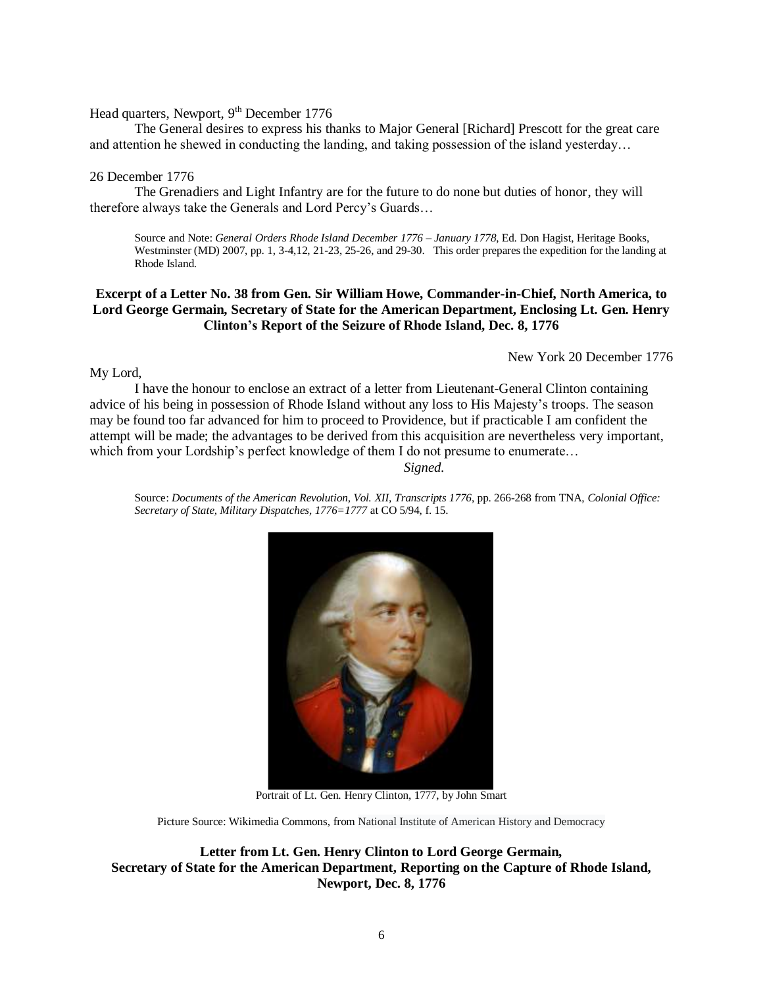#### Head quarters, Newport, 9<sup>th</sup> December 1776

The General desires to express his thanks to Major General [Richard] Prescott for the great care and attention he shewed in conducting the landing, and taking possession of the island yesterday…

#### 26 December 1776

The Grenadiers and Light Infantry are for the future to do none but duties of honor, they will therefore always take the Generals and Lord Percy's Guards…

Source and Note: *General Orders Rhode Island December 1776 – January 1778*, Ed. Don Hagist, Heritage Books, Westminster (MD) 2007, pp. 1, 3-4,12, 21-23, 25-26, and 29-30. This order prepares the expedition for the landing at Rhode Island.

## **Excerpt of a Letter No. 38 from Gen. Sir William Howe, Commander-in-Chief, North America, to Lord George Germain, Secretary of State for the American Department, Enclosing Lt. Gen. Henry Clinton's Report of the Seizure of Rhode Island, Dec. 8, 1776**

New York 20 December 1776

My Lord,

I have the honour to enclose an extract of a letter from Lieutenant-General Clinton containing advice of his being in possession of Rhode Island without any loss to His Majesty's troops. The season may be found too far advanced for him to proceed to Providence, but if practicable I am confident the attempt will be made; the advantages to be derived from this acquisition are nevertheless very important, which from your Lordship's perfect knowledge of them I do not presume to enumerate…

*Signed.* 

Source: *Documents of the American Revolution, Vol. XII, Transcripts 1776*, pp. 266-268 from TNA, *Colonial Office: Secretary of State, Military Dispatches, 1776=1777* at CO 5/94, f. 15.



Portrait of Lt. Gen. Henry Clinton, 1777, by John Smart

Picture Source: Wikimedia Commons, from National Institute of American History and Democracy

**Letter from Lt. Gen. Henry Clinton to Lord George Germain, Secretary of State for the American Department, Reporting on the Capture of Rhode Island, Newport, Dec. 8, 1776**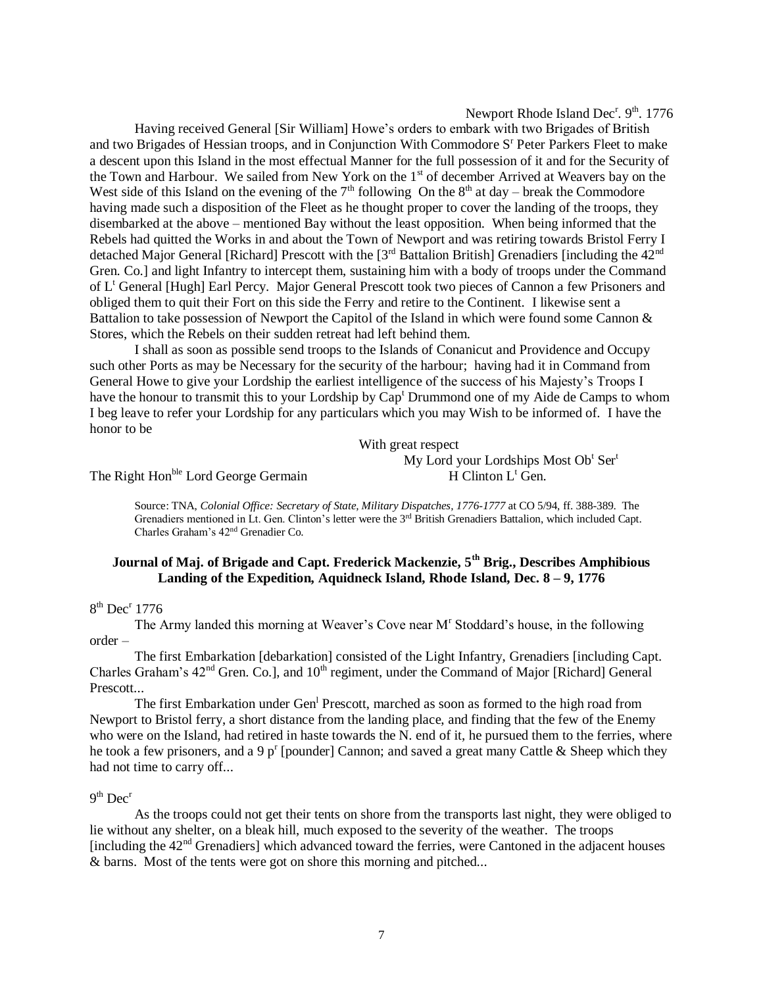### Newport Rhode Island Dec<sup>r</sup>. 9<sup>th</sup>. 1776

Having received General [Sir William] Howe's orders to embark with two Brigades of British and two Brigades of Hessian troops, and in Conjunction With Commodore S<sup>r</sup> Peter Parkers Fleet to make a descent upon this Island in the most effectual Manner for the full possession of it and for the Security of the Town and Harbour. We sailed from New York on the 1<sup>st</sup> of december Arrived at Weavers bay on the West side of this Island on the evening of the  $7<sup>th</sup>$  following On the  $8<sup>th</sup>$  at day – break the Commodore having made such a disposition of the Fleet as he thought proper to cover the landing of the troops, they disembarked at the above – mentioned Bay without the least opposition. When being informed that the Rebels had quitted the Works in and about the Town of Newport and was retiring towards Bristol Ferry I detached Major General [Richard] Prescott with the  $3<sup>rd</sup>$  Battalion British] Grenadiers [including the 42<sup>nd</sup>] Gren. Co.] and light Infantry to intercept them, sustaining him with a body of troops under the Command of L<sup>t</sup> General [Hugh] Earl Percy. Major General Prescott took two pieces of Cannon a few Prisoners and obliged them to quit their Fort on this side the Ferry and retire to the Continent. I likewise sent a Battalion to take possession of Newport the Capitol of the Island in which were found some Cannon & Stores, which the Rebels on their sudden retreat had left behind them.

I shall as soon as possible send troops to the Islands of Conanicut and Providence and Occupy such other Ports as may be Necessary for the security of the harbour; having had it in Command from General Howe to give your Lordship the earliest intelligence of the success of his Majesty's Troops I have the honour to transmit this to your Lordship by Cap<sup>t</sup> Drummond one of my Aide de Camps to whom I beg leave to refer your Lordship for any particulars which you may Wish to be informed of. I have the honor to be

With great respect

My Lord your Lordships Most Ob<sup>t</sup> Ser<sup>t</sup>

The Right Hon<sup>ble</sup> Lord George Germain  $H$  Clinton L<sup>t</sup> Gen.

Source: TNA, *Colonial Office: Secretary of State, Military Dispatches, 1776-1777* at CO 5/94, ff. 388-389. The Grenadiers mentioned in Lt. Gen. Clinton's letter were the 3rd British Grenadiers Battalion, which included Capt. Charles Graham's 42nd Grenadier Co.

## **Journal of Maj. of Brigade and Capt. Frederick Mackenzie, 5th Brig., Describes Amphibious Landing of the Expedition, Aquidneck Island, Rhode Island, Dec. 8 – 9, 1776**

#### 8<sup>th</sup> Dec<sup>r</sup> 1776

The Army landed this morning at Weaver's Cove near M<sup>r</sup> Stoddard's house, in the following order –

The first Embarkation [debarkation] consisted of the Light Infantry, Grenadiers [including Capt. Charles Graham's 42<sup>nd</sup> Gren. Co.], and 10<sup>th</sup> regiment, under the Command of Major [Richard] General Prescott...

The first Embarkation under Gen<sup>1</sup> Prescott, marched as soon as formed to the high road from Newport to Bristol ferry, a short distance from the landing place, and finding that the few of the Enemy who were on the Island, had retired in haste towards the N. end of it, he pursued them to the ferries, where he took a few prisoners, and a 9 p<sup>r</sup> [pounder] Cannon; and saved a great many Cattle & Sheep which they had not time to carry off...

#### $9<sup>th</sup> Dec<sup>r</sup>$

As the troops could not get their tents on shore from the transports last night, they were obliged to lie without any shelter, on a bleak hill, much exposed to the severity of the weather. The troops [including the  $42<sup>nd</sup>$  Grenadiers] which advanced toward the ferries, were Cantoned in the adjacent houses & barns. Most of the tents were got on shore this morning and pitched...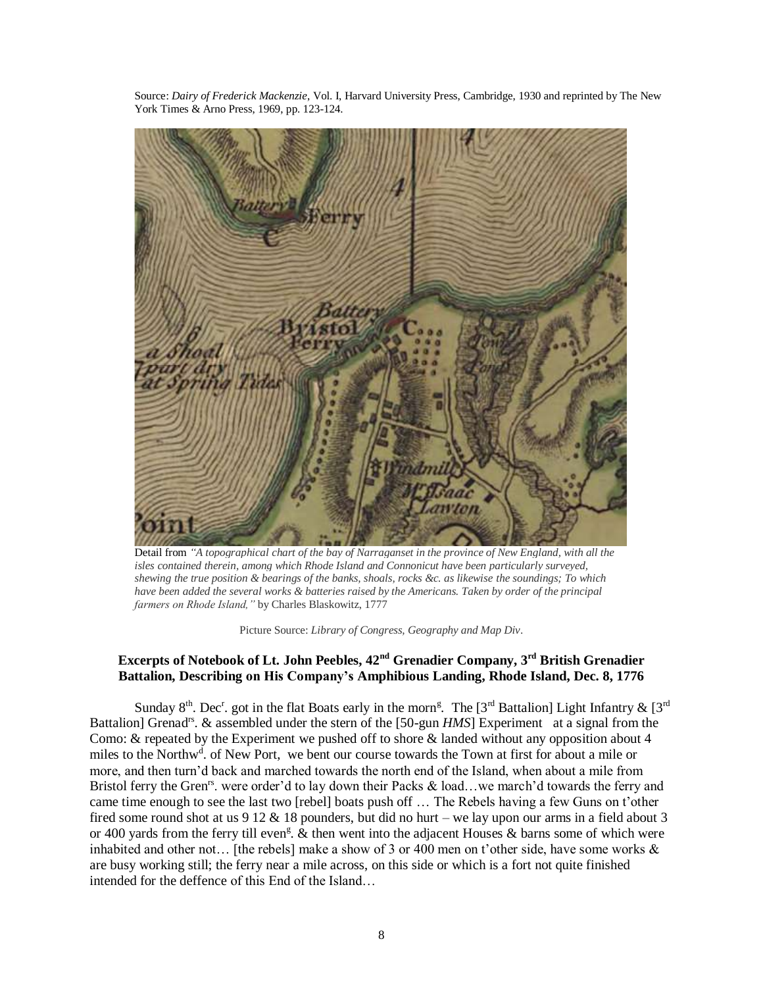Source: *Dairy of Frederick Mackenzie*, Vol. I, Harvard University Press, Cambridge, 1930 and reprinted by The New York Times & Arno Press, 1969, pp. 123-124.



Detail from *"A topographical chart of the bay of Narraganset in the province of New England, with all the isles contained therein, among which Rhode Island and Connonicut have been particularly surveyed, shewing the true position & bearings of the banks, shoals, rocks &c. as likewise the soundings; To which have been added the several works & batteries raised by the Americans. Taken by order of the principal farmers on Rhode Island,"* by Charles Blaskowitz, 1777

Picture Source: *Library of Congress, Geography and Map Div*.

# **Excerpts of Notebook of Lt. John Peebles, 42nd Grenadier Company, 3rd British Grenadier Battalion, Describing on His Company's Amphibious Landing, Rhode Island, Dec. 8, 1776**

Sunday 8<sup>th</sup>. Dec<sup>r</sup>. got in the flat Boats early in the morn<sup>g</sup>. The [3<sup>rd</sup> Battalion] Light Infantry & [3<sup>rd</sup>] Battalion] Grenad<sup>rs</sup>. & assembled under the stern of the [50-gun *HMS*] Experiment at a signal from the Como: & repeated by the Experiment we pushed off to shore & landed without any opposition about 4 miles to the Northw<sup>d</sup>. of New Port, we bent our course towards the Town at first for about a mile or more, and then turn'd back and marched towards the north end of the Island, when about a mile from Bristol ferry the Gren<sup>rs</sup>. were order'd to lay down their Packs & load...we march'd towards the ferry and came time enough to see the last two [rebel] boats push off … The Rebels having a few Guns on t'other fired some round shot at us  $912 \& 18$  pounders, but did no hurt – we lay upon our arms in a field about 3 or 400 yards from the ferry till even<sup>g</sup>.  $\&$  then went into the adjacent Houses  $\&$  barns some of which were inhabited and other not… [the rebels] make a show of 3 or 400 men on t'other side, have some works & are busy working still; the ferry near a mile across, on this side or which is a fort not quite finished intended for the deffence of this End of the Island…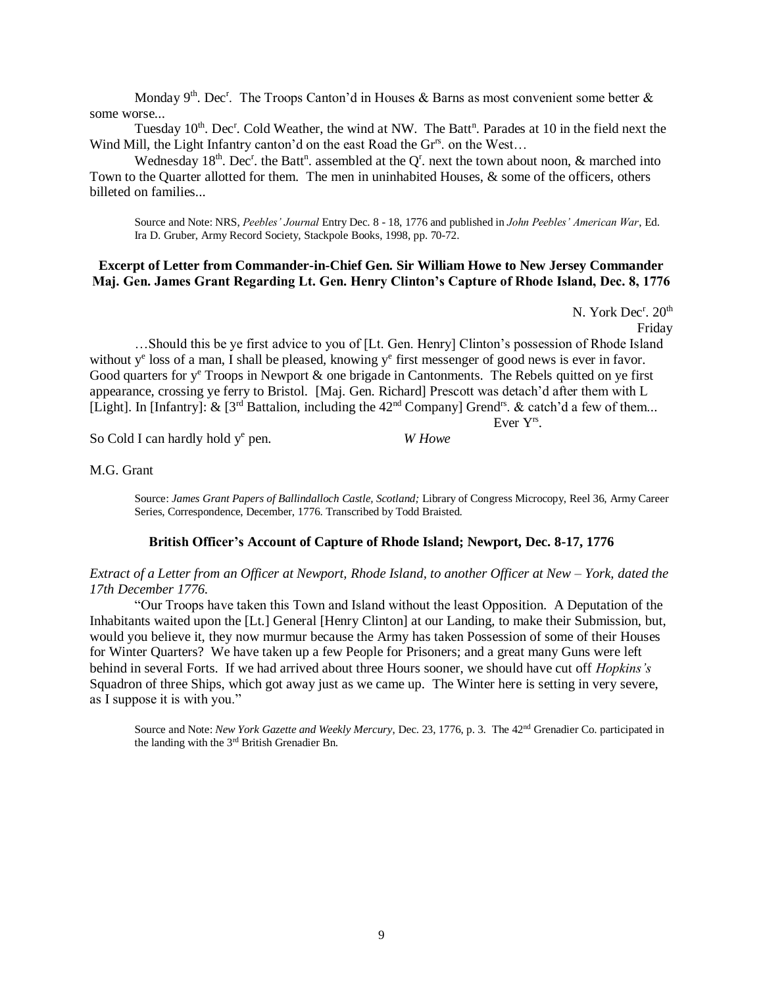Monday 9<sup>th</sup>. Dec<sup>r</sup>. The Troops Canton'd in Houses & Barns as most convenient some better & some worse...

Tuesday 10<sup>th</sup>. Dec<sup>r</sup>. Cold Weather, the wind at NW. The Batt<sup>n</sup>. Parades at 10 in the field next the Wind Mill, the Light Infantry canton'd on the east Road the Gr<sup>rs</sup>. on the West...

Wednesday 18<sup>th</sup>. Dec<sup>r</sup>. the Batt<sup>n</sup>. assembled at the Q<sup>r</sup>. next the town about noon, & marched into Town to the Quarter allotted for them. The men in uninhabited Houses, & some of the officers, others billeted on families...

Source and Note: NRS, *Peebles' Journal* Entry Dec. 8 - 18, 1776 and published in *John Peebles' American War*, Ed. Ira D. Gruber, Army Record Society, Stackpole Books, 1998, pp. 70-72.

#### **Excerpt of Letter from Commander-in-Chief Gen. Sir William Howe to New Jersey Commander Maj. Gen. James Grant Regarding Lt. Gen. Henry Clinton's Capture of Rhode Island, Dec. 8, 1776**

N. York  $Dec^r$ .  $20^{th}$ Friday

 …Should this be ye first advice to you of [Lt. Gen. Henry] Clinton's possession of Rhode Island without y<sup>e</sup> loss of a man, I shall be pleased, knowing y<sup>e</sup> first messenger of good news is ever in favor. Good quarters for  $y^e$  Troops in Newport & one brigade in Cantonments. The Rebels quitted on ye first appearance, crossing ye ferry to Bristol. [Maj. Gen. Richard] Prescott was detach'd after them with L [Light]. In [Infantry]:  $\&$  [3<sup>rd</sup> Battalion, including the 42<sup>nd</sup> Company] Grend<sup>rs</sup>.  $\&$  catch'd a few of them... Ever Yrs .

So Cold I can hardly hold y<sup>e</sup> pen.

M.G. Grant

Source: *James Grant Papers of Ballindalloch Castle, Scotland;* Library of Congress Microcopy, Reel 36, Army Career Series, Correspondence, December, 1776. Transcribed by Todd Braisted.

W Howe

#### **British Officer's Account of Capture of Rhode Island; Newport, Dec. 8-17, 1776**

*Extract of a Letter from an Officer at Newport, Rhode Island, to another Officer at New – York, dated the 17th December 1776.*

"Our Troops have taken this Town and Island without the least Opposition. A Deputation of the Inhabitants waited upon the [Lt.] General [Henry Clinton] at our Landing, to make their Submission, but, would you believe it, they now murmur because the Army has taken Possession of some of their Houses for Winter Quarters? We have taken up a few People for Prisoners; and a great many Guns were left behind in several Forts. If we had arrived about three Hours sooner, we should have cut off *Hopkins's* Squadron of three Ships, which got away just as we came up. The Winter here is setting in very severe, as I suppose it is with you."

Source and Note: *New York Gazette and Weekly Mercury*, Dec. 23, 1776, p. 3. The 42<sup>nd</sup> Grenadier Co. participated in the landing with the 3rd British Grenadier Bn.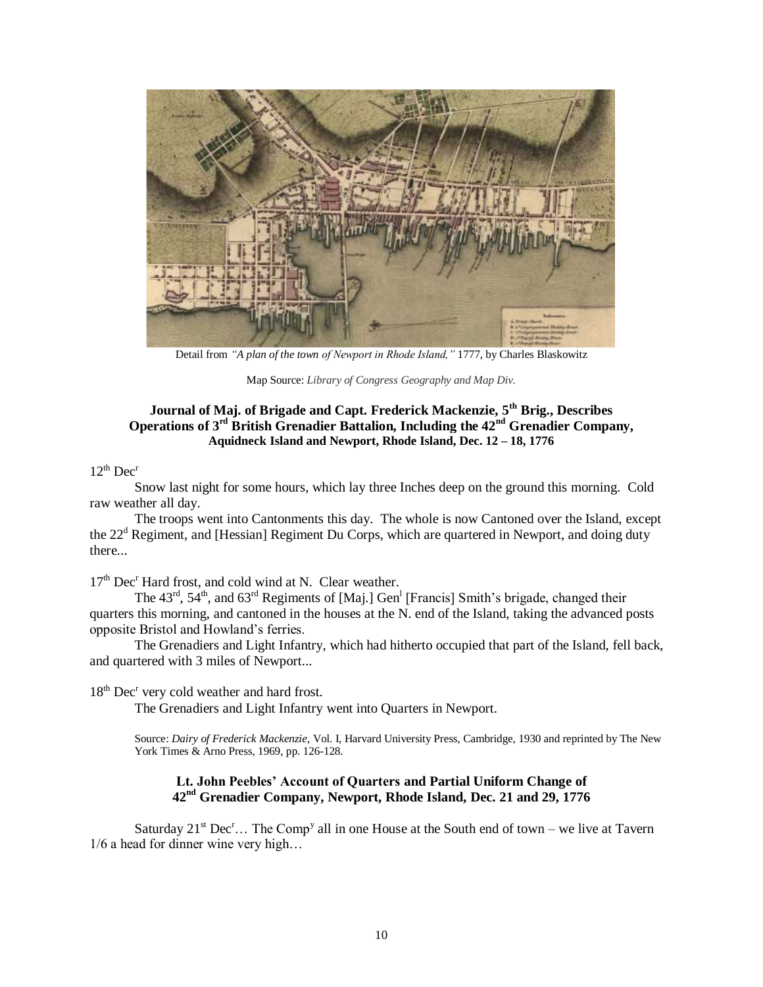

Detail from *"A plan of the town of Newport in Rhode Island,"* 1777, by Charles Blaskowitz

Map Source: *Library of Congress Geography and Map Div.*

## **Journal of Maj. of Brigade and Capt. Frederick Mackenzie, 5th Brig., Describes Operations of 3rd British Grenadier Battalion, Including the 42nd Grenadier Company, Aquidneck Island and Newport, Rhode Island, Dec. 12 – 18, 1776**

#### $12^{th}$  Dec<sup>r</sup>

Snow last night for some hours, which lay three Inches deep on the ground this morning. Cold raw weather all day.

The troops went into Cantonments this day. The whole is now Cantoned over the Island, except the 22<sup>d</sup> Regiment, and [Hessian] Regiment Du Corps, which are quartered in Newport, and doing duty there...

 $17<sup>th</sup>$  Dec<sup>r</sup> Hard frost, and cold wind at N. Clear weather.

The  $43<sup>rd</sup>$ ,  $54<sup>th</sup>$ , and  $63<sup>rd</sup>$  Regiments of [Maj.] Gen<sup>1</sup> [Francis] Smith's brigade, changed their quarters this morning, and cantoned in the houses at the N. end of the Island, taking the advanced posts opposite Bristol and Howland's ferries.

The Grenadiers and Light Infantry, which had hitherto occupied that part of the Island, fell back, and quartered with 3 miles of Newport...

18<sup>th</sup> Dec<sup>r</sup> very cold weather and hard frost.

The Grenadiers and Light Infantry went into Quarters in Newport.

Source: *Dairy of Frederick Mackenzie*, Vol. I, Harvard University Press, Cambridge, 1930 and reprinted by The New York Times & Arno Press, 1969, pp. 126-128.

## **Lt. John Peebles' Account of Quarters and Partial Uniform Change of 42nd Grenadier Company, Newport, Rhode Island, Dec. 21 and 29, 1776**

Saturday  $21^{st}$  Dec<sup>r</sup>... The Comp<sup>y</sup> all in one House at the South end of town – we live at Tavern 1/6 a head for dinner wine very high…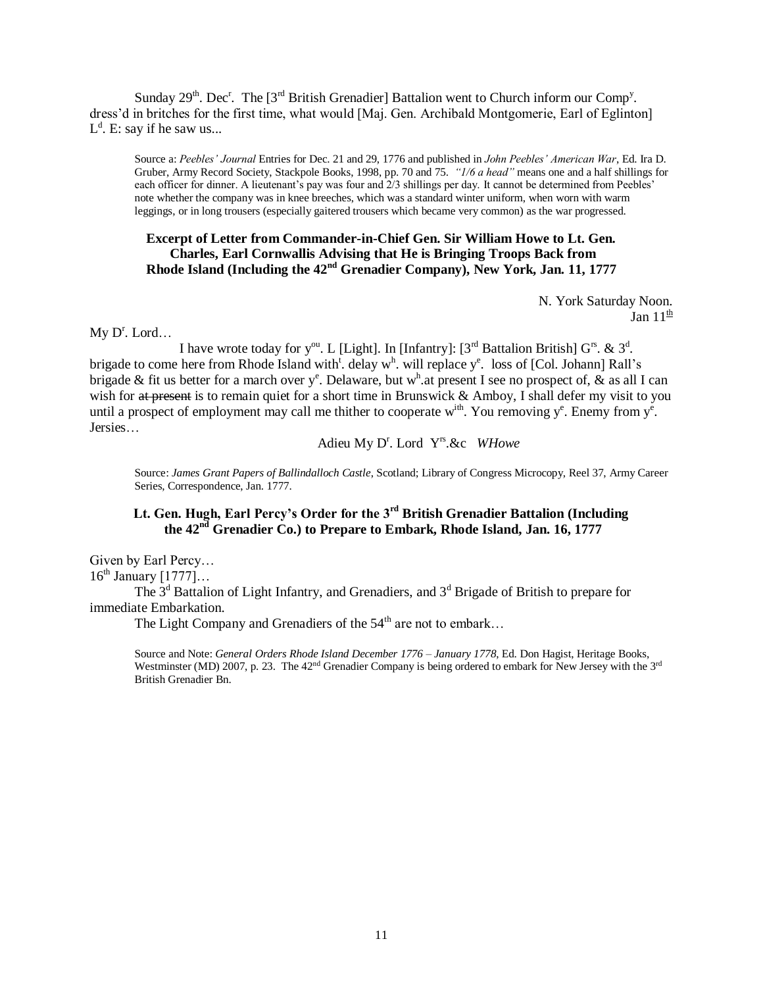Sunday  $29^{th}$ . Dec<sup>r</sup>. The [3<sup>rd</sup> British Grenadier] Battalion went to Church inform our Comp<sup>y</sup>. dress'd in britches for the first time, what would [Maj. Gen. Archibald Montgomerie, Earl of Eglinton]  $L^d$ . E: say if he saw us...

Source a: *Peebles' Journal* Entries for Dec. 21 and 29, 1776 and published in *John Peebles' American War*, Ed. Ira D. Gruber, Army Record Society, Stackpole Books, 1998, pp. 70 and 75. *"1/6 a head"* means one and a half shillings for each officer for dinner. A lieutenant's pay was four and 2/3 shillings per day. It cannot be determined from Peebles' note whether the company was in knee breeches, which was a standard winter uniform, when worn with warm leggings, or in long trousers (especially gaitered trousers which became very common) as the war progressed.

#### **Excerpt of Letter from Commander-in-Chief Gen. Sir William Howe to Lt. Gen. Charles, Earl Cornwallis Advising that He is Bringing Troops Back from Rhode Island (Including the 42nd Grenadier Company), New York, Jan. 11, 1777**

N. York Saturday Noon. Jan  $11^{\underline{th}}$ 

 $My D<sup>r</sup>$ . Lord...

I have wrote today for y<sup>ou</sup>. L [Light]. In [Infantry]:  $[3^{rd}$  Battalion British]  $G^{rs}$ . &  $3^d$ . brigade to come here from Rhode Island with<sup>t</sup>. delay w<sup>h</sup>. will replace y<sup>e</sup>. loss of [Col. Johann] Rall's brigade & fit us better for a march over  $y^e$ . Delaware, but w<sup>h</sup> at present I see no prospect of, & as all I can wish for at present is to remain quiet for a short time in Brunswick & Amboy, I shall defer my visit to you until a prospect of employment may call me thither to cooperate  $w^{ith}$ . You removing  $y^e$ . Enemy from  $y^e$ . Jersies…

Adieu My D<sup>r</sup>. Lord Y<sup>rs</sup>.&c WHowe

Source: *James Grant Papers of Ballindalloch Castle*, Scotland; Library of Congress Microcopy, Reel 37, Army Career Series, Correspondence, Jan. 1777.

# **Lt. Gen. Hugh, Earl Percy's Order for the 3rd British Grenadier Battalion (Including the 42nd Grenadier Co.) to Prepare to Embark, Rhode Island, Jan. 16, 1777**

Given by Earl Percy…  $16<sup>th</sup>$  January  $[1777]...$ 

The  $3<sup>d</sup>$  Battalion of Light Infantry, and Grenadiers, and  $3<sup>d</sup>$  Brigade of British to prepare for immediate Embarkation.

The Light Company and Grenadiers of the  $54<sup>th</sup>$  are not to embark...

Source and Note: *General Orders Rhode Island December 1776 – January 1778*, Ed. Don Hagist, Heritage Books, Westminster (MD) 2007, p. 23. The 42<sup>nd</sup> Grenadier Company is being ordered to embark for New Jersey with the 3<sup>rd</sup> British Grenadier Bn.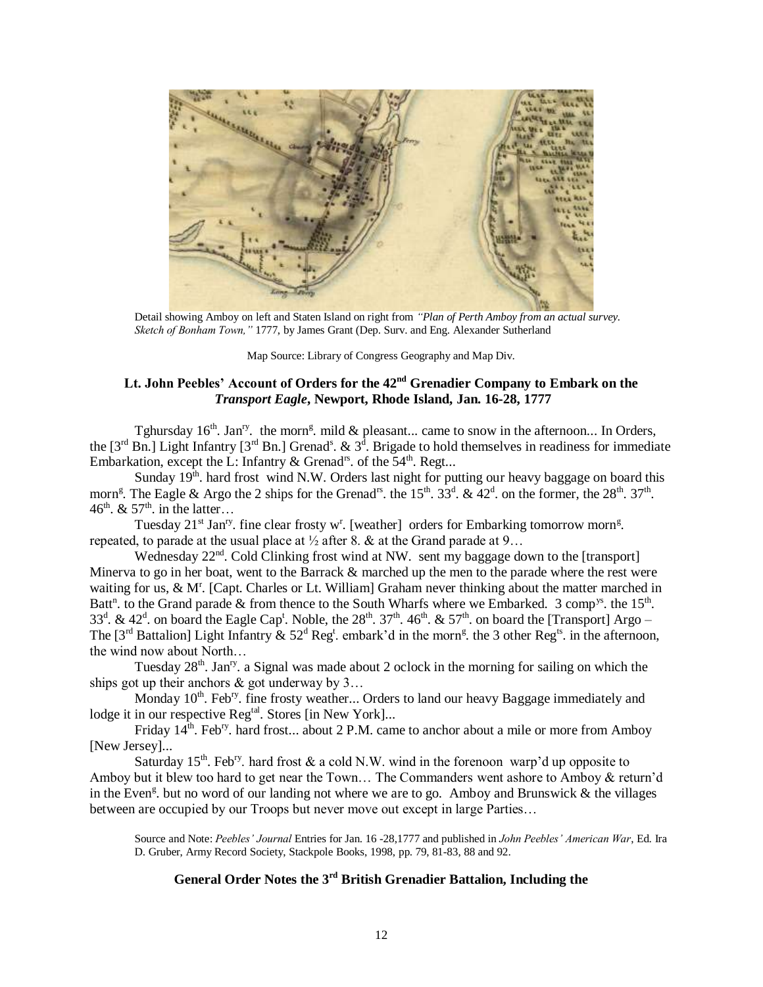

Detail showing Amboy on left and Staten Island on right from *"Plan of Perth Amboy from an actual survey. Sketch of Bonham Town,"* 1777, by James Grant (Dep. Surv. and Eng. Alexander Sutherland

Map Source: Library of Congress Geography and Map Div.

# **Lt. John Peebles' Account of Orders for the 42nd Grenadier Company to Embark on the** *Transport Eagle***, Newport, Rhode Island, Jan. 16-28, 1777**

Tghursday  $16<sup>th</sup>$ . Jan<sup>ry</sup>. the morn<sup>g</sup>, mild & pleasant... came to snow in the afternoon... In Orders, the  $[3^{rd}$  Bn.] Light Infantry  $[3^{rd}$  Bn.] Grenad<sup>s</sup>. &  $3^{\overline{d}}$ . Brigade to hold themselves in readiness for immediate Embarkation, except the L: Infantry & Grenad<sup>rs</sup>. of the  $54<sup>th</sup>$ . Regt...

Sunday  $19<sup>th</sup>$ . hard frost wind N.W. Orders last night for putting our heavy baggage on board this morn<sup>g</sup>. The Eagle & Argo the 2 ships for the Grenad<sup>1s</sup>. the 15<sup>th</sup>. 33<sup>d</sup>. & 42<sup>d</sup>. on the former, the 28<sup>th</sup>. 37<sup>th</sup>. 46<sup>th</sup>. & 57<sup>th</sup>. in the latter...

Tuesday  $21^{st}$  Jan<sup>ry</sup>. fine clear frosty w<sup>r</sup>. [weather] orders for Embarking tomorrow morn<sup>g</sup>. repeated, to parade at the usual place at  $\frac{1}{2}$  after 8. & at the Grand parade at 9...

Wednesday 22<sup>nd</sup>. Cold Clinking frost wind at NW. sent my baggage down to the [transport] Minerva to go in her boat, went to the Barrack & marched up the men to the parade where the rest were waiting for us, & M<sup>r</sup>. [Capt. Charles or Lt. William] Graham never thinking about the matter marched in Batt<sup>n</sup>. to the Grand parade & from thence to the South Wharfs where we Embarked. 3 comp<sup>ys</sup>. the 15<sup>th</sup>. 33<sup>d</sup>. & 42<sup>d</sup>. on board the Eagle Cap<sup>t</sup>. Noble, the 28<sup>th</sup>. 37<sup>th</sup>. 46<sup>th</sup>. & 57<sup>th</sup>. on board the [Transport] Argo – The [3<sup>rd</sup> Battalion] Light Infantry  $\&$  52<sup>d</sup> Reg<sup>t</sup>. embark'd in the morn<sup>g</sup>. the 3 other Reg<sup>ts</sup>. in the afternoon, the wind now about North…

Tuesday  $28<sup>th</sup>$ . Jan<sup>ry</sup>. a Signal was made about 2 oclock in the morning for sailing on which the ships got up their anchors  $\&$  got underway by 3...

Monday  $10^{th}$ . Feb<sup>ry</sup>. fine frosty weather... Orders to land our heavy Baggage immediately and lodge it in our respective Reg<sup>tal</sup>. Stores [in New York]...

Friday  $14^{\text{th}}$ . Feb<sup>ry</sup>. hard frost... about 2 P.M. came to anchor about a mile or more from Amboy [New Jersey]...

Saturday 15<sup>th</sup>. Feb<sup>ry</sup>. hard frost & a cold N.W. wind in the forenoon warp'd up opposite to Amboy but it blew too hard to get near the Town… The Commanders went ashore to Amboy & return'd in the Even<sup>g</sup>. but no word of our landing not where we are to go. Amboy and Brunswick & the villages between are occupied by our Troops but never move out except in large Parties…

Source and Note: *Peebles' Journal* Entries for Jan. 16 -28,1777 and published in *John Peebles' American War*, Ed. Ira D. Gruber, Army Record Society, Stackpole Books, 1998, pp. 79, 81-83, 88 and 92.

# **General Order Notes the 3rd British Grenadier Battalion, Including the**